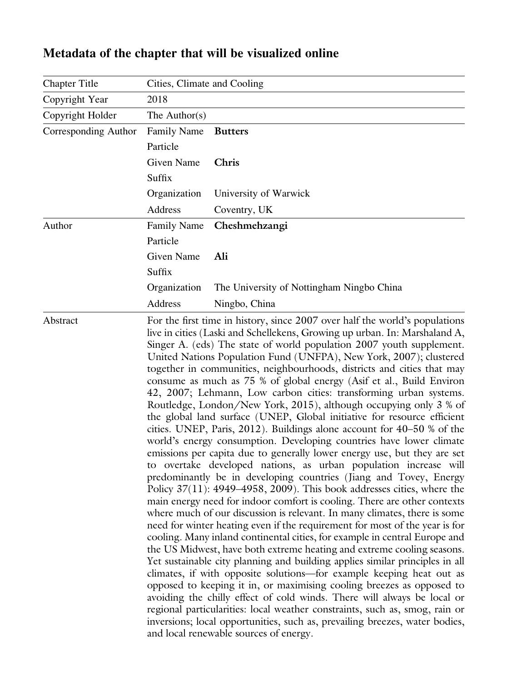| <b>Chapter Title</b> | Cities, Climate and Cooling                                                                                                                                                                                                                                                                                                                                                                                                                                                                                                                                                                                                                                                                                                                                                                                                                                                                                                                                                                                                                                                                                                                                                                                                                                                                                                                                                                                                                                                                                                                                                                                                                                                                                                                                                                                                                                                                                                                                                                                                                        |                                           |  |
|----------------------|----------------------------------------------------------------------------------------------------------------------------------------------------------------------------------------------------------------------------------------------------------------------------------------------------------------------------------------------------------------------------------------------------------------------------------------------------------------------------------------------------------------------------------------------------------------------------------------------------------------------------------------------------------------------------------------------------------------------------------------------------------------------------------------------------------------------------------------------------------------------------------------------------------------------------------------------------------------------------------------------------------------------------------------------------------------------------------------------------------------------------------------------------------------------------------------------------------------------------------------------------------------------------------------------------------------------------------------------------------------------------------------------------------------------------------------------------------------------------------------------------------------------------------------------------------------------------------------------------------------------------------------------------------------------------------------------------------------------------------------------------------------------------------------------------------------------------------------------------------------------------------------------------------------------------------------------------------------------------------------------------------------------------------------------------|-------------------------------------------|--|
| Copyright Year       | 2018                                                                                                                                                                                                                                                                                                                                                                                                                                                                                                                                                                                                                                                                                                                                                                                                                                                                                                                                                                                                                                                                                                                                                                                                                                                                                                                                                                                                                                                                                                                                                                                                                                                                                                                                                                                                                                                                                                                                                                                                                                               |                                           |  |
| Copyright Holder     | The Author(s)                                                                                                                                                                                                                                                                                                                                                                                                                                                                                                                                                                                                                                                                                                                                                                                                                                                                                                                                                                                                                                                                                                                                                                                                                                                                                                                                                                                                                                                                                                                                                                                                                                                                                                                                                                                                                                                                                                                                                                                                                                      |                                           |  |
| Corresponding Author | <b>Family Name</b>                                                                                                                                                                                                                                                                                                                                                                                                                                                                                                                                                                                                                                                                                                                                                                                                                                                                                                                                                                                                                                                                                                                                                                                                                                                                                                                                                                                                                                                                                                                                                                                                                                                                                                                                                                                                                                                                                                                                                                                                                                 | <b>Butters</b>                            |  |
|                      | Particle                                                                                                                                                                                                                                                                                                                                                                                                                                                                                                                                                                                                                                                                                                                                                                                                                                                                                                                                                                                                                                                                                                                                                                                                                                                                                                                                                                                                                                                                                                                                                                                                                                                                                                                                                                                                                                                                                                                                                                                                                                           |                                           |  |
|                      | Given Name                                                                                                                                                                                                                                                                                                                                                                                                                                                                                                                                                                                                                                                                                                                                                                                                                                                                                                                                                                                                                                                                                                                                                                                                                                                                                                                                                                                                                                                                                                                                                                                                                                                                                                                                                                                                                                                                                                                                                                                                                                         | Chris                                     |  |
|                      | Suffix                                                                                                                                                                                                                                                                                                                                                                                                                                                                                                                                                                                                                                                                                                                                                                                                                                                                                                                                                                                                                                                                                                                                                                                                                                                                                                                                                                                                                                                                                                                                                                                                                                                                                                                                                                                                                                                                                                                                                                                                                                             |                                           |  |
|                      | Organization                                                                                                                                                                                                                                                                                                                                                                                                                                                                                                                                                                                                                                                                                                                                                                                                                                                                                                                                                                                                                                                                                                                                                                                                                                                                                                                                                                                                                                                                                                                                                                                                                                                                                                                                                                                                                                                                                                                                                                                                                                       | University of Warwick                     |  |
|                      | Address                                                                                                                                                                                                                                                                                                                                                                                                                                                                                                                                                                                                                                                                                                                                                                                                                                                                                                                                                                                                                                                                                                                                                                                                                                                                                                                                                                                                                                                                                                                                                                                                                                                                                                                                                                                                                                                                                                                                                                                                                                            | Coventry, UK                              |  |
| Author               | <b>Family Name</b>                                                                                                                                                                                                                                                                                                                                                                                                                                                                                                                                                                                                                                                                                                                                                                                                                                                                                                                                                                                                                                                                                                                                                                                                                                                                                                                                                                                                                                                                                                                                                                                                                                                                                                                                                                                                                                                                                                                                                                                                                                 | Cheshmehzangi                             |  |
|                      | Particle                                                                                                                                                                                                                                                                                                                                                                                                                                                                                                                                                                                                                                                                                                                                                                                                                                                                                                                                                                                                                                                                                                                                                                                                                                                                                                                                                                                                                                                                                                                                                                                                                                                                                                                                                                                                                                                                                                                                                                                                                                           |                                           |  |
|                      | Given Name                                                                                                                                                                                                                                                                                                                                                                                                                                                                                                                                                                                                                                                                                                                                                                                                                                                                                                                                                                                                                                                                                                                                                                                                                                                                                                                                                                                                                                                                                                                                                                                                                                                                                                                                                                                                                                                                                                                                                                                                                                         | Ali                                       |  |
|                      | Suffix                                                                                                                                                                                                                                                                                                                                                                                                                                                                                                                                                                                                                                                                                                                                                                                                                                                                                                                                                                                                                                                                                                                                                                                                                                                                                                                                                                                                                                                                                                                                                                                                                                                                                                                                                                                                                                                                                                                                                                                                                                             |                                           |  |
|                      | Organization                                                                                                                                                                                                                                                                                                                                                                                                                                                                                                                                                                                                                                                                                                                                                                                                                                                                                                                                                                                                                                                                                                                                                                                                                                                                                                                                                                                                                                                                                                                                                                                                                                                                                                                                                                                                                                                                                                                                                                                                                                       | The University of Nottingham Ningbo China |  |
|                      | Address                                                                                                                                                                                                                                                                                                                                                                                                                                                                                                                                                                                                                                                                                                                                                                                                                                                                                                                                                                                                                                                                                                                                                                                                                                                                                                                                                                                                                                                                                                                                                                                                                                                                                                                                                                                                                                                                                                                                                                                                                                            | Ningbo, China                             |  |
|                      | For the first time in history, since 2007 over half the world's populations<br>live in cities (Laski and Schellekens, Growing up urban. In: Marshaland A,<br>Singer A. (eds) The state of world population 2007 youth supplement.<br>United Nations Population Fund (UNFPA), New York, 2007); clustered<br>together in communities, neighbourhoods, districts and cities that may<br>consume as much as 75 % of global energy (Asif et al., Build Environ<br>42, 2007; Lehmann, Low carbon cities: transforming urban systems.<br>Routledge, London/New York, 2015), although occupying only 3 % of<br>the global land surface (UNEP, Global initiative for resource efficient<br>cities. UNEP, Paris, 2012). Buildings alone account for 40–50 % of the<br>world's energy consumption. Developing countries have lower climate<br>emissions per capita due to generally lower energy use, but they are set<br>to overtake developed nations, as urban population increase will<br>predominantly be in developing countries (Jiang and Tovey, Energy<br>Policy 37(11): 4949-4958, 2009). This book addresses cities, where the<br>main energy need for indoor comfort is cooling. There are other contexts<br>where much of our discussion is relevant. In many climates, there is some<br>need for winter heating even if the requirement for most of the year is for<br>cooling. Many inland continental cities, for example in central Europe and<br>the US Midwest, have both extreme heating and extreme cooling seasons.<br>Yet sustainable city planning and building applies similar principles in all<br>climates, if with opposite solutions-for example keeping heat out as<br>opposed to keeping it in, or maximising cooling breezes as opposed to<br>avoiding the chilly effect of cold winds. There will always be local or<br>regional particularities: local weather constraints, such as, smog, rain or<br>inversions; local opportunities, such as, prevailing breezes, water bodies,<br>and local renewable sources of energy. |                                           |  |

# **Metadata of the chapter that will be visualized online**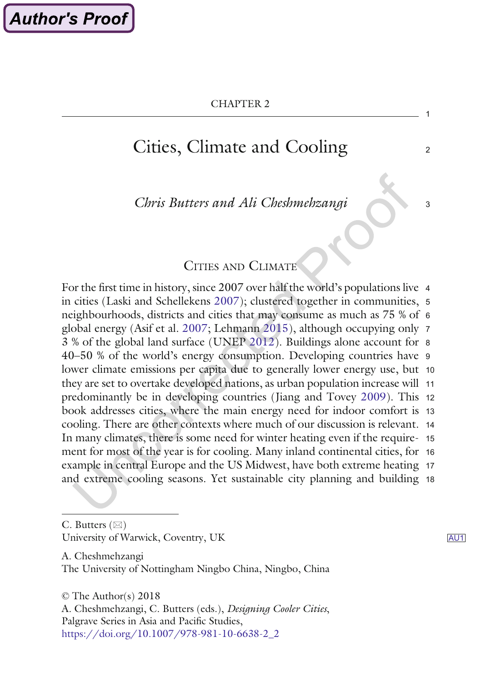## <span id="page-2-0"></span>Cities, Climate and Cooling  $2\frac{2}{3}$

Chris Butters and Ali Cheshmehzangi

## CITIES AND CLIMATE

For the first time in history, since 2007 over half the world's populations live <sup>4</sup> in cities (Laski and Schellekens [2007\)](#page-16-0); clustered together in communities, <sup>5</sup> neighbourhoods, districts and cities that may consume as much as 75 % of <sup>6</sup> global energy (Asif et al. [2007](#page-14-0); Lehmann [2015\)](#page-16-0), although occupying only <sup>7</sup> 3 % of the global land surface (UNEP [2012\)](#page-16-0). Buildings alone account for <sup>8</sup> 40–50 % of the world's energy consumption. Developing countries have <sup>9</sup> lower climate emissions per capita due to generally lower energy use, but <sup>10</sup> they are set to overtake developed nations, as urban population increase will <sup>11</sup> predominantly be in developing countries (Jiang and Tovey [2009](#page-15-0)). This <sup>12</sup> book addresses cities, where the main energy need for indoor comfort is <sup>13</sup> cooling. There are other contexts where much of our discussion is relevant. <sup>14</sup> In many climates, there is some need for winter heating even if the require- <sup>15</sup> ment for most of the year is for cooling. Many inland continental cities, for <sup>16</sup> example in central Europe and the US Midwest, have both extreme heating <sup>17</sup> and extreme cooling seasons. Yet sustainable city planning and building <sup>18</sup>

University of Warwick, Coventry, UK [AU1](#page-17-0)

A. Cheshmehzangi The University of Nottingham Ningbo China, Ningbo, China

© The Author(s) 2018

A. Cheshmehzangi, C. Butters (eds.), Designing Cooler Cities, Palgrave Series in Asia and Pacific Studies, [https://doi.org/10.1007/978-981-10-6638-2\\_2](https://doi.org/10.1007/978-981-10-6638-2_2)

1

C. Butters  $(\boxtimes)$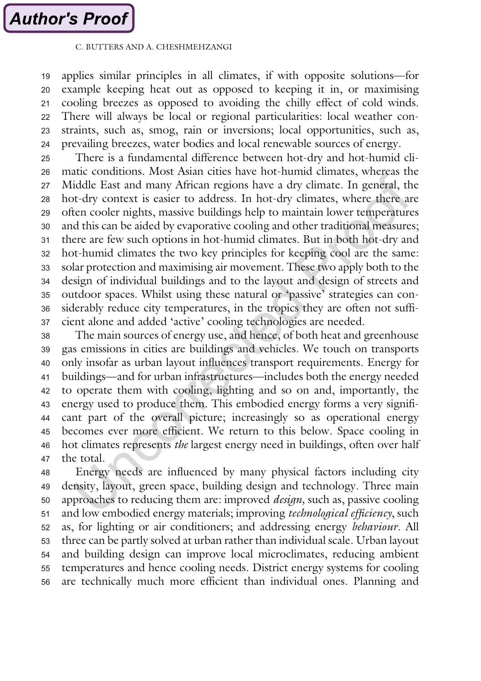applies similar principles in all climates, if with opposite solutions—for example keeping heat out as opposed to keeping it in, or maximising cooling breezes as opposed to avoiding the chilly effect of cold winds. There will always be local or regional particularities: local weather con- straints, such as, smog, rain or inversions; local opportunities, such as, prevailing breezes, water bodies and local renewable sources of energy.

 There is a fundamental difference between hot-dry and hot-humid cli- matic conditions. Most Asian cities have hot-humid climates, whereas the Middle East and many African regions have a dry climate. In general, the hot-dry context is easier to address. In hot-dry climates, where there are often cooler nights, massive buildings help to maintain lower temperatures and this can be aided by evaporative cooling and other traditional measures; there are few such options in hot-humid climates. But in both hot-dry and hot-humid climates the two key principles for keeping cool are the same: solar protection and maximising air movement. These two apply both to the design of individual buildings and to the layout and design of streets and outdoor spaces. Whilst using these natural or 'passive' strategies can con- siderably reduce city temperatures, in the tropics they are often not suffi-cient alone and added 'active' cooling technologies are needed.

 The main sources of energy use, and hence, of both heat and greenhouse gas emissions in cities are buildings and vehicles. We touch on transports only insofar as urban layout influences transport requirements. Energy for buildings—and for urban infrastructures—includes both the energy needed to operate them with cooling, lighting and so on and, importantly, the energy used to produce them. This embodied energy forms a very signifi- cant part of the overall picture; increasingly so as operational energy becomes ever more efficient. We return to this below. Space cooling in 46 hot climates represents *the* largest energy need in buildings, often over half the total.

 Energy needs are influenced by many physical factors including city density, layout, green space, building design and technology. Three main 50 approaches to reducing them are: improved *design*, such as, passive cooling and low embodied energy materials; improving technological efficiency, such as, for lighting or air conditioners; and addressing energy behaviour. All three can be partly solved at urban rather than individual scale. Urban layout and building design can improve local microclimates, reducing ambient temperatures and hence cooling needs. District energy systems for cooling are technically much more efficient than individual ones. Planning and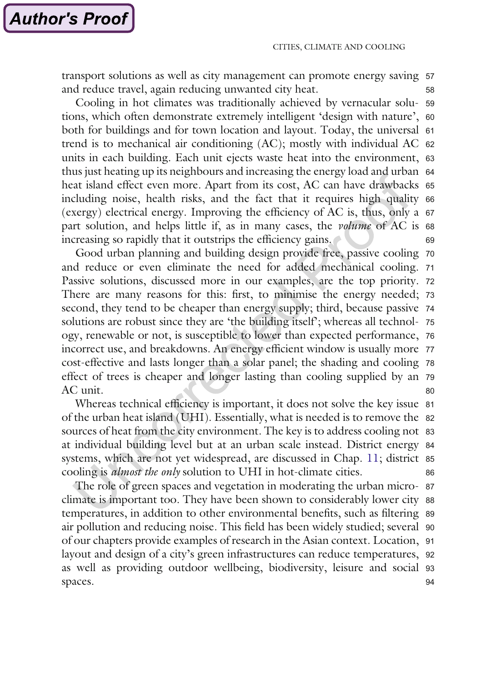transport solutions as well as city management can promote energy saving 57 and reduce travel, again reducing unwanted city heat.

Cooling in hot climates was traditionally achieved by vernacular solu- <sup>59</sup> tions, which often demonstrate extremely intelligent 'design with nature', <sup>60</sup> both for buildings and for town location and layout. Today, the universal <sup>61</sup> trend is to mechanical air conditioning (AC); mostly with individual AC <sup>62</sup> units in each building. Each unit ejects waste heat into the environment, <sup>63</sup> thus just heating up its neighbours and increasing the energy load and urban <sup>64</sup> heat island effect even more. Apart from its cost, AC can have drawbacks <sup>65</sup> including noise, health risks, and the fact that it requires high quality <sup>66</sup> (exergy) electrical energy. Improving the efficiency of AC is, thus, only a <sup>67</sup> part solution, and helps little if, as in many cases, the volume of AC is <sup>68</sup> increasing so rapidly that it outstrips the efficiency gains. 69

Good urban planning and building design provide free, passive cooling <sup>70</sup> and reduce or even eliminate the need for added mechanical cooling. <sup>71</sup> Passive solutions, discussed more in our examples, are the top priority. <sup>72</sup> There are many reasons for this: first, to minimise the energy needed; <sup>73</sup> second, they tend to be cheaper than energy supply; third, because passive <sup>74</sup> solutions are robust since they are 'the building itself'; whereas all technol- 75 ogy, renewable or not, is susceptible to lower than expected performance, <sup>76</sup> incorrect use, and breakdowns. An energy efficient window is usually more 77 cost-effective and lasts longer than a solar panel; the shading and cooling <sup>78</sup> effect of trees is cheaper and longer lasting than cooling supplied by an <sup>79</sup> AC unit.

Whereas technical efficiency is important, it does not solve the key issue <sup>81</sup> of the urban heat island (UHI). Essentially, what is needed is to remove the <sup>82</sup> sources of heat from the city environment. The key is to address cooling not <sup>83</sup> at individual building level but at an urban scale instead. District energy <sup>84</sup> systems, which are not yet widespread, are discussed in Chap. [11;](https://doi.org/10.1007/978-981-10-6638-2_11) district <sup>85</sup> cooling is *almost the only* solution to UHI in hot-climate cities. 86

The role of green spaces and vegetation in moderating the urban micro- <sup>87</sup> climate is important too. They have been shown to considerably lower city <sup>88</sup> temperatures, in addition to other environmental benefits, such as filtering <sup>89</sup> air pollution and reducing noise. This field has been widely studied; several <sup>90</sup> of our chapters provide examples of research in the Asian context. Location, <sup>91</sup> layout and design of a city's green infrastructures can reduce temperatures, <sup>92</sup> as well as providing outdoor wellbeing, biodiversity, leisure and social <sup>93</sup> spaces. 94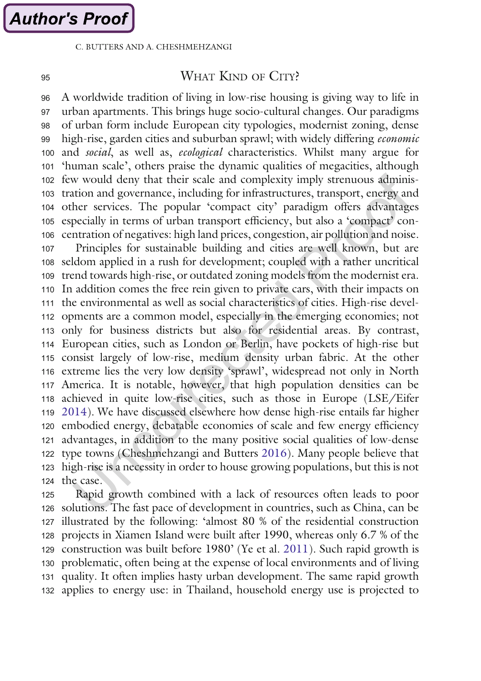C. BUTTERS AND A. CHESHMEHZANGI

### 95 WHAT KIND OF CITY?

 A worldwide tradition of living in low-rise housing is giving way to life in urban apartments. This brings huge socio-cultural changes. Our paradigms of urban form include European city typologies, modernist zoning, dense high-rise, garden cities and suburban sprawl; with widely differing economic and social, as well as, ecological characteristics. Whilst many argue for 'human scale', others praise the dynamic qualities of megacities, although few would deny that their scale and complexity imply strenuous adminis- tration and governance, including for infrastructures, transport, energy and other services. The popular 'compact city' paradigm offers advantages especially in terms of urban transport efficiency, but also a 'compact' con- centration of negatives: high land prices, congestion, air pollution and noise. Principles for sustainable building and cities are well known, but are seldom applied in a rush for development; coupled with a rather uncritical trend towards high-rise, or outdated zoning models from the modernist era. In addition comes the free rein given to private cars, with their impacts on the environmental as well as social characteristics of cities. High-rise devel- opments are a common model, especially in the emerging economies; not only for business districts but also for residential areas. By contrast, European cities, such as London or Berlin, have pockets of high-rise but consist largely of low-rise, medium density urban fabric. At the other extreme lies the very low density 'sprawl', widespread not only in North America. It is notable, however, that high population densities can be achieved in quite low-rise cities, such as those in Europe (LSE/Eifer [2014\)](#page-16-0). We have discussed elsewhere how dense high-rise entails far higher embodied energy, debatable economies of scale and few energy efficiency advantages, in addition to the many positive social qualities of low-dense type towns (Cheshmehzangi and Butters [2016](#page-15-0)). Many people believe that high-rise is a necessity in order to house growing populations, but this is not the case.

 Rapid growth combined with a lack of resources often leads to poor solutions. The fast pace of development in countries, such as China, can be illustrated by the following: 'almost 80 % of the residential construction projects in Xiamen Island were built after 1990, whereas only 6.7 % of the construction was built before 1980' (Ye et al. [2011](#page-16-0)). Such rapid growth is problematic, often being at the expense of local environments and of living quality. It often implies hasty urban development. The same rapid growth applies to energy use: in Thailand, household energy use is projected to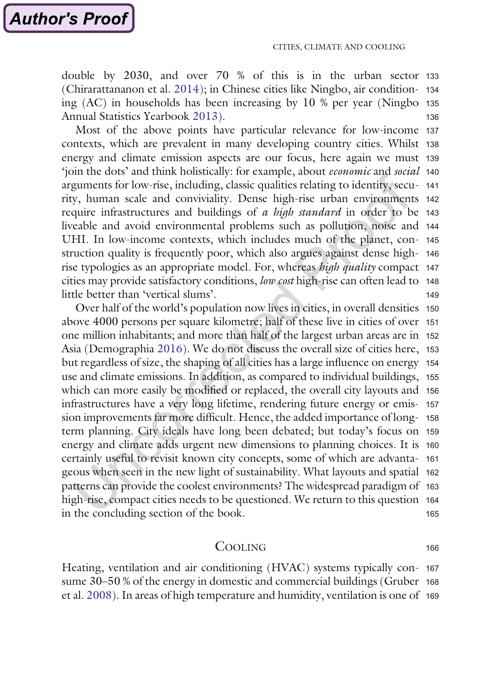double by 2030, and over 70 % of this is in the urban sector 133 (Chirarattananon et al. [2014\)](#page-15-0); in Chinese cities like Ningbo, air condition- 134 ing (AC) in households has been increasing by 10 % per year (Ningbo <sup>135</sup> Annual Statistics Yearbook [2013](#page-16-0)). <sup>136</sup>

Most of the above points have particular relevance for low-income <sup>137</sup> contexts, which are prevalent in many developing country cities. Whilst <sup>138</sup> energy and climate emission aspects are our focus, here again we must <sup>139</sup> 'join the dots' and think holistically: for example, about economic and social <sup>140</sup> arguments for low-rise, including, classic qualities relating to identity, secu- <sup>141</sup> rity, human scale and conviviality. Dense high-rise urban environments <sup>142</sup> require infrastructures and buildings of a high standard in order to be 143 liveable and avoid environmental problems such as pollution, noise and <sup>144</sup> UHI. In low-income contexts, which includes much of the planet, con- <sup>145</sup> struction quality is frequently poor, which also argues against dense high- <sup>146</sup> rise typologies as an appropriate model. For, whereas high quality compact <sup>147</sup> cities may provide satisfactory conditions, low cost high-rise can often lead to <sup>148</sup> little better than 'vertical slums'. <sup>149</sup>

Over half of the world's population now lives in cities, in overall densities <sup>150</sup> above 4000 persons per square kilometre; half of these live in cities of over <sup>151</sup> one million inhabitants; and more than half of the largest urban areas are in <sup>152</sup> Asia (Demographia [2016](#page-15-0)). We do not discuss the overall size of cities here, <sup>153</sup> but regardless of size, the shaping of all cities has a large influence on energy <sup>154</sup> use and climate emissions. In addition, as compared to individual buildings, <sup>155</sup> which can more easily be modified or replaced, the overall city layouts and <sup>156</sup> infrastructures have a very long lifetime, rendering future energy or emis- <sup>157</sup> sion improvements far more difficult. Hence, the added importance of long- <sup>158</sup> term planning. City ideals have long been debated; but today's focus on <sup>159</sup> energy and climate adds urgent new dimensions to planning choices. It is <sup>160</sup> certainly useful to revisit known city concepts, some of which are advanta- <sup>161</sup> geous when seen in the new light of sustainability. What layouts and spatial <sup>162</sup> patterns can provide the coolest environments? The widespread paradigm of <sup>163</sup> high-rise, compact cities needs to be questioned. We return to this question 164 in the concluding section of the book. 165

#### COOLING 166

Heating, ventilation and air conditioning (HVAC) systems typically con- <sup>167</sup> sume 30–50 % of the energy in domestic and commercial buildings (Gruber <sup>168</sup> et al. [2008\)](#page-15-0). In areas of high temperature and humidity, ventilation is one of <sup>169</sup>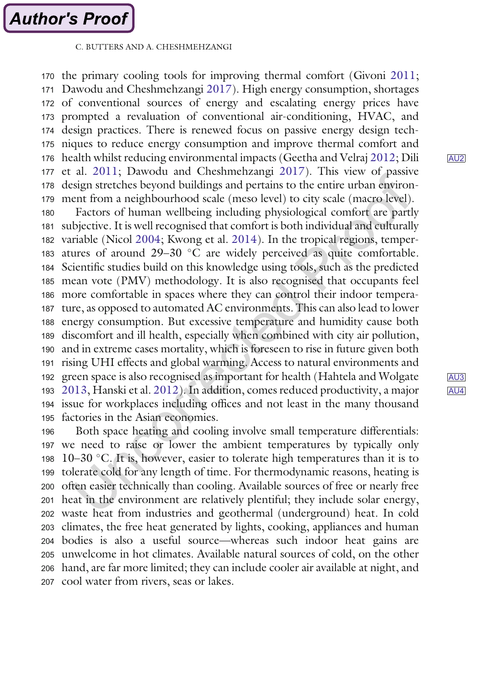<span id="page-7-0"></span> the primary cooling tools for improving thermal comfort (Givoni [2011;](#page-15-0) Dawodu and Cheshmehzangi [2017](#page-15-0)). High energy consumption, shortages of conventional sources of energy and escalating energy prices have prompted a revaluation of conventional air-conditioning, HVAC, and design practices. There is renewed focus on passive energy design tech- niques to reduce energy consumption and improve thermal comfort and 176 health whilst reducing environmental impacts (Geetha and Velraj [2012](#page-15-0); Dili  $\overline{A\cup 2}$  et al. [2011](#page-15-0); Dawodu and Cheshmehzangi [2017](#page-15-0)). This view of passive design stretches beyond buildings and pertains to the entire urban environ-ment from a neighbourhood scale (meso level) to city scale (macro level).

 Factors of human wellbeing including physiological comfort are partly subjective. It is well recognised that comfort is both individual and culturally variable (Nicol [2004](#page-16-0); Kwong et al. [2014](#page-16-0)). In the tropical regions, temper-183 atures of around  $29-30$  °C are widely perceived as quite comfortable. Scientific studies build on this knowledge using tools, such as the predicted mean vote (PMV) methodology. It is also recognised that occupants feel more comfortable in spaces where they can control their indoor tempera- ture, as opposed to automated AC environments. This can also lead to lower energy consumption. But excessive temperature and humidity cause both discomfort and ill health, especially when combined with city air pollution, and in extreme cases mortality, which is foreseen to rise in future given both rising UHI effects and global warming. Access to natural environments and 192 green space is also recognised as important for health (Hahtela and Wolgate [AU3](#page-17-0)) [2013,](#page-15-0) Hanski et al. [2012](#page-15-0)). In addition, comes reduced productivity, a major  $\overline{A\cup 4}$  issue for workplaces including offices and not least in the many thousand factories in the Asian economies.

 Both space heating and cooling involve small temperature differentials: we need to raise or lower the ambient temperatures by typically only 198 10-30 °C. It is, however, easier to tolerate high temperatures than it is to tolerate cold for any length of time. For thermodynamic reasons, heating is often easier technically than cooling. Available sources of free or nearly free heat in the environment are relatively plentiful; they include solar energy, waste heat from industries and geothermal (underground) heat. In cold climates, the free heat generated by lights, cooking, appliances and human bodies is also a useful source—whereas such indoor heat gains are unwelcome in hot climates. Available natural sources of cold, on the other hand, are far more limited; they can include cooler air available at night, and cool water from rivers, seas or lakes.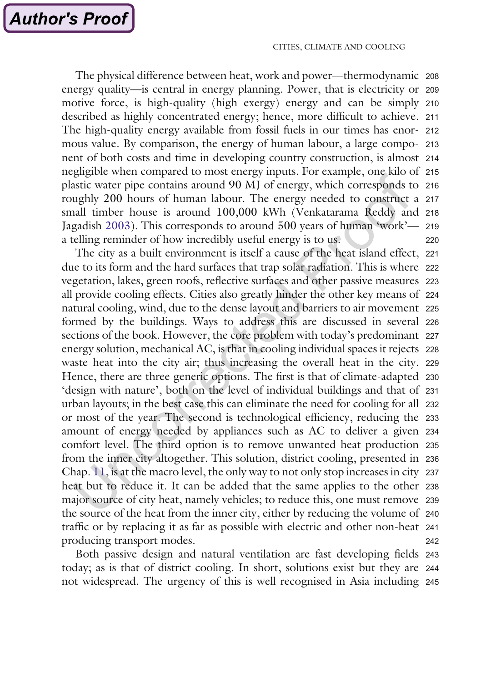The physical difference between heat, work and power—thermodynamic <sup>208</sup> energy quality—is central in energy planning. Power, that is electricity or <sup>209</sup> motive force, is high-quality (high exergy) energy and can be simply <sup>210</sup> described as highly concentrated energy; hence, more difficult to achieve. <sup>211</sup> The high-quality energy available from fossil fuels in our times has enor- <sup>212</sup> mous value. By comparison, the energy of human labour, a large compo- <sup>213</sup> nent of both costs and time in developing country construction, is almost <sup>214</sup> negligible when compared to most energy inputs. For example, one kilo of <sup>215</sup> plastic water pipe contains around 90 MJ of energy, which corresponds to <sup>216</sup> roughly 200 hours of human labour. The energy needed to construct a <sup>217</sup> small timber house is around 100,000 kWh (Venkatarama Reddy and <sup>218</sup> Jagadish [2003\)](#page-16-0). This corresponds to around 500 years of human 'work'— <sup>219</sup> a telling reminder of how incredibly useful energy is to us. <sup>220</sup>

The city as a built environment is itself a cause of the heat island effect, <sup>221</sup> due to its form and the hard surfaces that trap solar radiation. This is where <sup>222</sup> vegetation, lakes, green roofs, reflective surfaces and other passive measures <sup>223</sup> all provide cooling effects. Cities also greatly hinder the other key means of <sup>224</sup> natural cooling, wind, due to the dense layout and barriers to air movement <sup>225</sup> formed by the buildings. Ways to address this are discussed in several <sup>226</sup> sections of the book. However, the core problem with today's predominant <sup>227</sup> energy solution, mechanical AC, is that in cooling individual spaces it rejects <sup>228</sup> waste heat into the city air; thus increasing the overall heat in the city. <sup>229</sup> Hence, there are three generic options. The first is that of climate-adapted <sup>230</sup> 'design with nature', both on the level of individual buildings and that of <sup>231</sup> urban layouts; in the best case this can eliminate the need for cooling for all <sup>232</sup> or most of the year. The second is technological efficiency, reducing the <sup>233</sup> amount of energy needed by appliances such as AC to deliver a given <sup>234</sup> comfort level. The third option is to remove unwanted heat production <sup>235</sup> from the inner city altogether. This solution, district cooling, presented in <sup>236</sup> Chap. [11](https://doi.org/10.1007/978-981-10-6638-2_11), is at the macro level, the only way to not only stop increases in city <sup>237</sup> heat but to reduce it. It can be added that the same applies to the other <sup>238</sup> major source of city heat, namely vehicles; to reduce this, one must remove <sup>239</sup> the source of the heat from the inner city, either by reducing the volume of <sup>240</sup> traffic or by replacing it as far as possible with electric and other non-heat <sup>241</sup> producing transport modes. <sup>242</sup>

Both passive design and natural ventilation are fast developing fields <sup>243</sup> today; as is that of district cooling. In short, solutions exist but they are <sup>244</sup> not widespread. The urgency of this is well recognised in Asia including <sup>245</sup>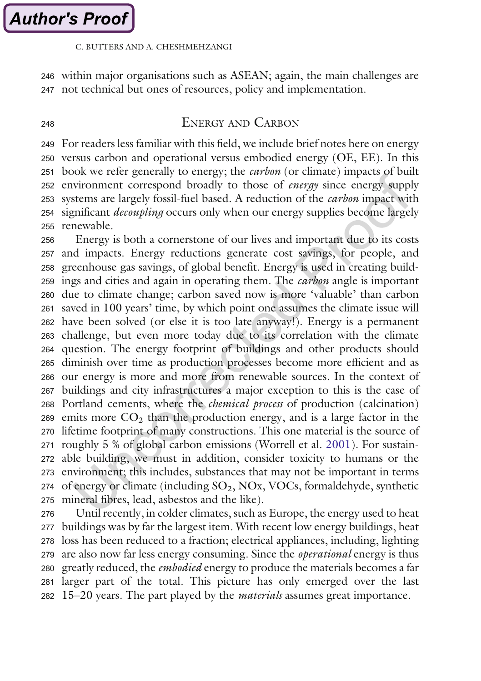within major organisations such as ASEAN; again, the main challenges are not technical but ones of resources, policy and implementation.

#### ENERGY AND CARBON

 For readers less familiar with this field, we include brief notes here on energy versus carbon and operational versus embodied energy (OE, EE). In this book we refer generally to energy; the carbon (or climate) impacts of built environment correspond broadly to those of energy since energy supply 253 systems are largely fossil-fuel based. A reduction of the *carbon* impact with 254 significant *decoupling* occurs only when our energy supplies become largely renewable.

 Energy is both a cornerstone of our lives and important due to its costs and impacts. Energy reductions generate cost savings, for people, and greenhouse gas savings, of global benefit. Energy is used in creating build-259 ings and cities and again in operating them. The *carbon* angle is important due to climate change; carbon saved now is more 'valuable' than carbon saved in 100 years' time, by which point one assumes the climate issue will have been solved (or else it is too late anyway!). Energy is a permanent challenge, but even more today due to its correlation with the climate question. The energy footprint of buildings and other products should diminish over time as production processes become more efficient and as our energy is more and more from renewable sources. In the context of buildings and city infrastructures a major exception to this is the case of Portland cements, where the chemical process of production (calcination) 269 emits more  $CO<sub>2</sub>$  than the production energy, and is a large factor in the lifetime footprint of many constructions. This one material is the source of roughly 5 % of global carbon emissions (Worrell et al. [2001](#page-16-0)). For sustain- able building, we must in addition, consider toxicity to humans or the environment; this includes, substances that may not be important in terms 274 of energy or climate (including  $SO_2$ , NOx, VOCs, formaldehyde, synthetic mineral fibres, lead, asbestos and the like).

 Until recently, in colder climates, such as Europe, the energy used to heat buildings was by far the largest item. With recent low energy buildings, heat loss has been reduced to a fraction; electrical appliances, including, lighting 279 are also now far less energy consuming. Since the *operational* energy is thus 280 greatly reduced, the *embodied* energy to produce the materials becomes a far larger part of the total. This picture has only emerged over the last 282 15–20 years. The part played by the *materials* assumes great importance.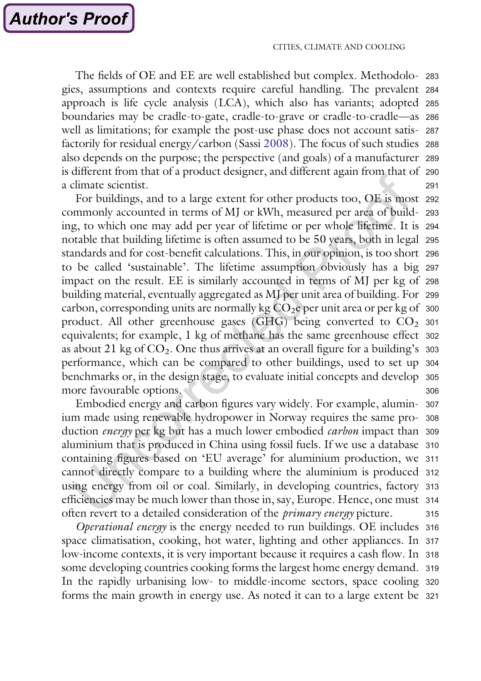The fields of OE and EE are well established but complex. Methodolo- <sup>283</sup> gies, assumptions and contexts require careful handling. The prevalent 284 approach is life cycle analysis (LCA), which also has variants; adopted <sup>285</sup> boundaries may be cradle-to-gate, cradle-to-grave or cradle-to-cradle—as <sup>286</sup> well as limitations; for example the post-use phase does not account satis- <sup>287</sup> factorily for residual energy/carbon (Sassi [2008](#page-16-0)). The focus of such studies <sup>288</sup> also depends on the purpose; the perspective (and goals) of a manufacturer <sup>289</sup> is different from that of a product designer, and different again from that of <sup>290</sup> a climate scientist. <sup>291</sup>

For buildings, and to a large extent for other products too, OE is most <sup>292</sup> commonly accounted in terms of MJ or kWh, measured per area of build- <sup>293</sup> ing, to which one may add per year of lifetime or per whole lifetime. It is <sup>294</sup> notable that building lifetime is often assumed to be 50 years, both in legal <sup>295</sup> standards and for cost-benefit calculations. This, in our opinion, is too short <sup>296</sup> to be called 'sustainable'. The lifetime assumption obviously has a big <sup>297</sup> impact on the result. EE is similarly accounted in terms of MJ per kg of <sup>298</sup> building material, eventually aggregated as MJ per unit area of building. For <sup>299</sup> carbon, corresponding units are normally kg  $CO<sub>2</sub>e$  per unit area or per kg of 300 product. All other greenhouse gases (GHG) being converted to  $CO<sub>2</sub>$  301 equivalents; for example, 1 kg of methane has the same greenhouse effect <sup>302</sup> as about 21 kg of  $CO<sub>2</sub>$ . One thus arrives at an overall figure for a building's 303 performance, which can be compared to other buildings, used to set up <sup>304</sup> benchmarks or, in the design stage, to evaluate initial concepts and develop <sup>305</sup> more favourable options.  $\blacksquare$  306

Embodied energy and carbon figures vary widely. For example, alumin- <sup>307</sup> ium made using renewable hydropower in Norway requires the same pro- <sup>308</sup> duction *energy* per kg but has a much lower embodied *carbon* impact than 309 aluminium that is produced in China using fossil fuels. If we use a database <sup>310</sup> containing figures based on 'EU average' for aluminium production, we <sup>311</sup> cannot directly compare to a building where the aluminium is produced <sup>312</sup> using energy from oil or coal. Similarly, in developing countries, factory <sup>313</sup> efficiencies may be much lower than those in, say, Europe. Hence, one must <sup>314</sup> often revert to a detailed consideration of the *primary energy* picture. 315

Operational energy is the energy needed to run buildings. OE includes <sup>316</sup> space climatisation, cooking, hot water, lighting and other appliances. In <sup>317</sup> low-income contexts, it is very important because it requires a cash flow. In <sup>318</sup> some developing countries cooking forms the largest home energy demand. <sup>319</sup> In the rapidly urbanising low- to middle-income sectors, space cooling <sup>320</sup> forms the main growth in energy use. As noted it can to a large extent be <sup>321</sup>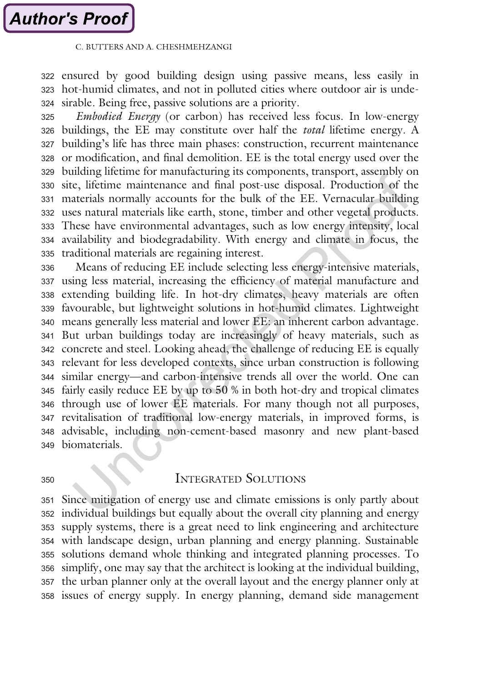ensured by good building design using passive means, less easily in hot-humid climates, and not in polluted cities where outdoor air is unde-sirable. Being free, passive solutions are a priority.

 Embodied Energy (or carbon) has received less focus. In low-energy buildings, the EE may constitute over half the total lifetime energy. A building's life has three main phases: construction, recurrent maintenance or modification, and final demolition. EE is the total energy used over the building lifetime for manufacturing its components, transport, assembly on site, lifetime maintenance and final post-use disposal. Production of the materials normally accounts for the bulk of the EE. Vernacular building uses natural materials like earth, stone, timber and other vegetal products. These have environmental advantages, such as low energy intensity, local availability and biodegradability. With energy and climate in focus, the traditional materials are regaining interest.

 Means of reducing EE include selecting less energy-intensive materials, using less material, increasing the efficiency of material manufacture and extending building life. In hot-dry climates, heavy materials are often favourable, but lightweight solutions in hot-humid climates. Lightweight means generally less material and lower EE: an inherent carbon advantage. But urban buildings today are increasingly of heavy materials, such as concrete and steel. Looking ahead, the challenge of reducing EE is equally relevant for less developed contexts, since urban construction is following similar energy—and carbon-intensive trends all over the world. One can fairly easily reduce EE by up to 50 % in both hot-dry and tropical climates through use of lower EE materials. For many though not all purposes, revitalisation of traditional low-energy materials, in improved forms, is advisable, including non-cement-based masonry and new plant-based biomaterials.

#### INTEGRATED SOLUTIONS

 Since mitigation of energy use and climate emissions is only partly about individual buildings but equally about the overall city planning and energy supply systems, there is a great need to link engineering and architecture with landscape design, urban planning and energy planning. Sustainable solutions demand whole thinking and integrated planning processes. To simplify, one may say that the architect is looking at the individual building, the urban planner only at the overall layout and the energy planner only at issues of energy supply. In energy planning, demand side management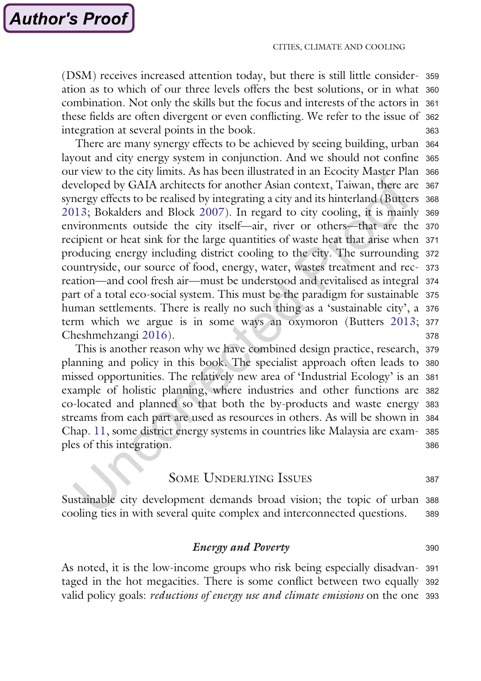(DSM) receives increased attention today, but there is still little consider- 359 ation as to which of our three levels offers the best solutions, or in what 360 combination. Not only the skills but the focus and interests of the actors in <sup>361</sup> these fields are often divergent or even conflicting. We refer to the issue of <sup>362</sup> integration at several points in the book. 363

There are many synergy effects to be achieved by seeing building, urban <sup>364</sup> layout and city energy system in conjunction. And we should not confine <sup>365</sup> our view to the city limits. As has been illustrated in an Ecocity Master Plan <sup>366</sup> developed by GAIA architects for another Asian context, Taiwan, there are <sup>367</sup> synergy effects to be realised by integrating a city and its hinterland (Butters <sup>368</sup> [2013;](#page-15-0) Bokalders and Block [2007\)](#page-15-0). In regard to city cooling, it is mainly <sup>369</sup> environments outside the city itself—air, river or others—that are the <sup>370</sup> recipient or heat sink for the large quantities of waste heat that arise when <sup>371</sup> producing energy including district cooling to the city. The surrounding <sup>372</sup> countryside, our source of food, energy, water, wastes treatment and rec- <sup>373</sup> reation—and cool fresh air—must be understood and revitalised as integral <sup>374</sup> part of a total eco-social system. This must be the paradigm for sustainable <sup>375</sup> human settlements. There is really no such thing as a 'sustainable city', a <sup>376</sup> term which we argue is in some ways an oxymoron (Butters [2013;](#page-15-0) <sup>377</sup> Cheshmehzangi [2016](#page-15-0)). 378

This is another reason why we have combined design practice, research, <sup>379</sup> planning and policy in this book. The specialist approach often leads to <sup>380</sup> missed opportunities. The relatively new area of 'Industrial Ecology' is an <sup>381</sup> example of holistic planning, where industries and other functions are <sup>382</sup> co-located and planned so that both the by-products and waste energy <sup>383</sup> streams from each part are used as resources in others. As will be shown in <sup>384</sup> Chap. [11,](https://doi.org/10.1007/978-981-10-6638-2_11) some district energy systems in countries like Malaysia are exam- <sup>385</sup> ples of this integration. 386

SOME UNDERLYING ISSUES <sup>387</sup>

Sustainable city development demands broad vision; the topic of urban <sup>388</sup> cooling ties in with several quite complex and interconnected questions. <sup>389</sup>

**Energy and Poverty** 390

As noted, it is the low-income groups who risk being especially disadvan- <sup>391</sup> taged in the hot megacities. There is some conflict between two equally <sup>392</sup> valid policy goals: *reductions of energy use and climate emissions* on the one 393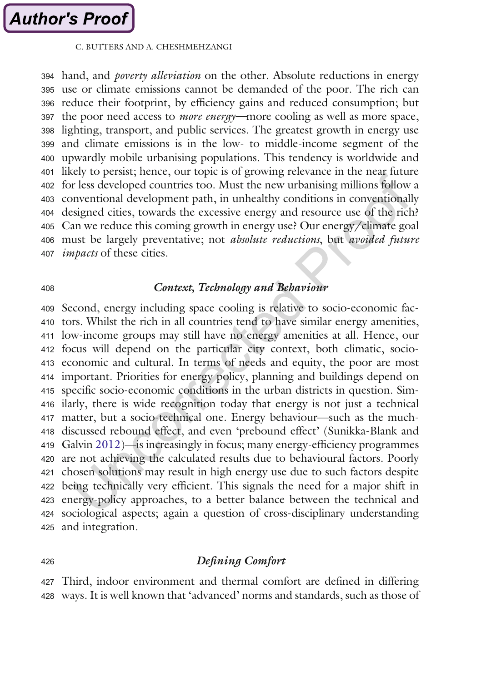394 hand, and *poverty alleviation* on the other. Absolute reductions in energy use or climate emissions cannot be demanded of the poor. The rich can reduce their footprint, by efficiency gains and reduced consumption; but 397 the poor need access to *more energy*—more cooling as well as more space, lighting, transport, and public services. The greatest growth in energy use and climate emissions is in the low- to middle-income segment of the upwardly mobile urbanising populations. This tendency is worldwide and likely to persist; hence, our topic is of growing relevance in the near future for less developed countries too. Must the new urbanising millions follow a conventional development path, in unhealthy conditions in conventionally designed cities, towards the excessive energy and resource use of the rich? Can we reduce this coming growth in energy use? Our energy/climate goal must be largely preventative; not absolute reductions, but avoided future impacts of these cities.

#### Context, Technology and Behaviour

 Second, energy including space cooling is relative to socio-economic fac- tors. Whilst the rich in all countries tend to have similar energy amenities, low-income groups may still have no energy amenities at all. Hence, our focus will depend on the particular city context, both climatic, socio- economic and cultural. In terms of needs and equity, the poor are most important. Priorities for energy policy, planning and buildings depend on specific socio-economic conditions in the urban districts in question. Sim- ilarly, there is wide recognition today that energy is not just a technical matter, but a socio-technical one. Energy behaviour—such as the much- discussed rebound effect, and even 'prebound effect' (Sunikka-Blank and Galvin [2012](#page-16-0))—is increasingly in focus; many energy-efficiency programmes are not achieving the calculated results due to behavioural factors. Poorly chosen solutions may result in high energy use due to such factors despite being technically very efficient. This signals the need for a major shift in energy-policy approaches, to a better balance between the technical and sociological aspects; again a question of cross-disciplinary understanding and integration.

#### Defining Comfort

 Third, indoor environment and thermal comfort are defined in differing ways. It is well known that 'advanced' norms and standards, such as those of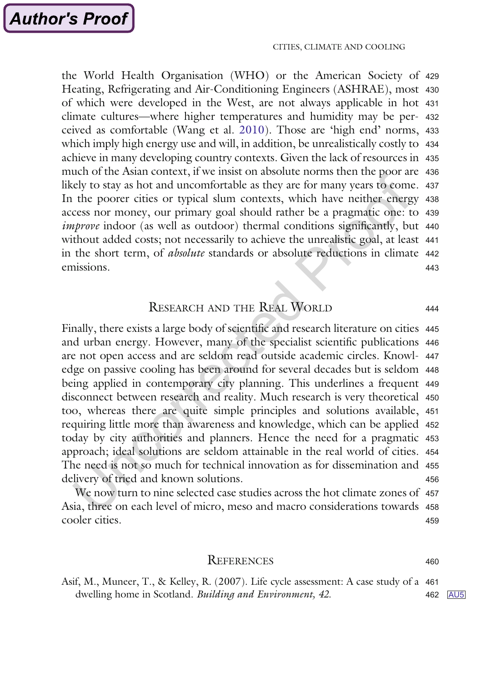<span id="page-14-0"></span>the World Health Organisation (WHO) or the American Society of 429 Heating, Refrigerating and Air-Conditioning Engineers (ASHRAE), most 430 of which were developed in the West, are not always applicable in hot <sup>431</sup> climate cultures—where higher temperatures and humidity may be per- <sup>432</sup> ceived as comfortable (Wang et al. [2010\)](#page-16-0). Those are 'high end' norms, <sup>433</sup> which imply high energy use and will, in addition, be unrealistically costly to 434 achieve in many developing country contexts. Given the lack of resources in <sup>435</sup> much of the Asian context, if we insist on absolute norms then the poor are <sup>436</sup> likely to stay as hot and uncomfortable as they are for many years to come. <sup>437</sup> In the poorer cities or typical slum contexts, which have neither energy <sup>438</sup> access nor money, our primary goal should rather be a pragmatic one: to <sup>439</sup> *improve* indoor (as well as outdoor) thermal conditions significantly, but 440 without added costs; not necessarily to achieve the unrealistic goal, at least <sup>441</sup> in the short term, of *absolute* standards or absolute reductions in climate 442 emissions. 443

#### RESEARCH AND THE REAL WORLD 444

Finally, there exists a large body of scientific and research literature on cities <sup>445</sup> and urban energy. However, many of the specialist scientific publications <sup>446</sup> are not open access and are seldom read outside academic circles. Knowl- <sup>447</sup> edge on passive cooling has been around for several decades but is seldom <sup>448</sup> being applied in contemporary city planning. This underlines a frequent <sup>449</sup> disconnect between research and reality. Much research is very theoretical <sup>450</sup> too, whereas there are quite simple principles and solutions available, <sup>451</sup> requiring little more than awareness and knowledge, which can be applied <sup>452</sup> today by city authorities and planners. Hence the need for a pragmatic <sup>453</sup> approach; ideal solutions are seldom attainable in the real world of cities. <sup>454</sup> The need is not so much for technical innovation as for dissemination and <sup>455</sup> delivery of tried and known solutions. <sup>456</sup>

We now turn to nine selected case studies across the hot climate zones of 457 Asia, three on each level of micro, meso and macro considerations towards <sup>458</sup> cooler cities. 459

#### REFERENCES 460

Asif, M., Muneer, T., & Kelley, R. (2007). Life cycle assessment: A case study of a 461 dwelling home in Scotland. Building and Environment, 42. 462 462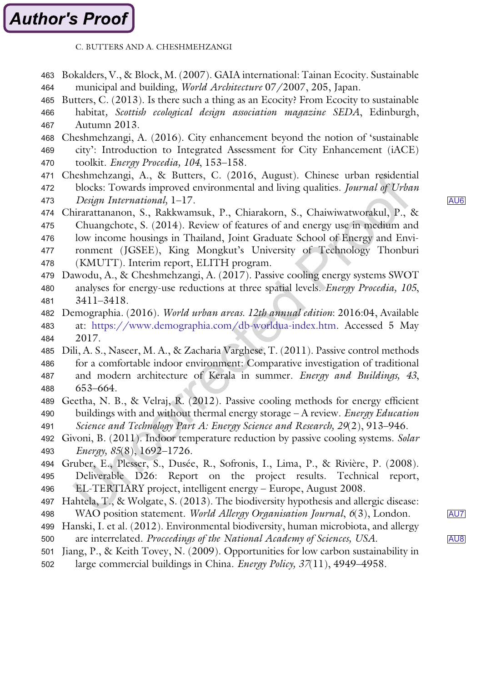C. BUTTERS AND A. CHESHMEHZANGI

- <span id="page-15-0"></span> Bokalders, V., & Block, M. (2007). GAIA international: Tainan Ecocity. Sustainable 464 municipal and building, *World Architecture* 07/2007, 205, Japan.
- Butters, C. (2013). Is there such a thing as an Ecocity? From Ecocity to sustainable
- habitat, Scottish ecological design association magazine SEDA, Edinburgh, Autumn 2013.
- Cheshmehzangi, A. (2016). City enhancement beyond the notion of 'sustainable city': Introduction to Integrated Assessment for City Enhancement (iACE)
- toolkit. Energy Procedia, 104, 153–158.
- Cheshmehzangi, A., & Butters, C. (2016, August). Chinese urban residential 472 blocks: Towards improved environmental and living qualities. *Journal of Urban* Design International, 1–17. [AU6](#page-17-0)
- Chirarattananon, S., Rakkwamsuk, P., Chiarakorn, S., Chaiwiwatworakul, P., & Chuangchote, S. (2014). Review of features of and energy use in medium and low income housings in Thailand, Joint Graduate School of Energy and Envi-ronment (JGSEE), King Mongkut's University of Technology Thonburi
- (KMUTT). Interim report, ELITH program.
- Dawodu, A., & Cheshmehzangi, A. (2017). Passive cooling energy systems SWOT
- analyses for energy-use reductions at three spatial levels. Energy Procedia, 105, 3411–3418.
- Demographia. (2016). World urban areas. 12th annual edition: 2016:04, Available at: <https://www.demographia.com/db-worldua-index.htm>. Accessed 5 May 2017.
- Dili, A. S., Naseer, M. A., & Zacharia Varghese, T. (2011). Passive control methods for a comfortable indoor environment: Comparative investigation of traditional 487 and modern architecture of Kerala in summer. *Energy and Buildings*, 43, 653–664.
- Geetha, N. B., & Velraj, R. (2012). Passive cooling methods for energy efficient 490 buildings with and without thermal energy storage  $- A$  review. *Energy Education* Science and Technology Part A: Energy Science and Research, 29(2), 913–946.
- Givoni, B. (2011). Indoor temperature reduction by passive cooling systems. Solar
- Energy, 85(8), 1692–1726.
- Gruber, E., Plesser, S., Dusée, R., Sofronis, I., Lima, P., & Rivière, P. (2008).
- Deliverable D26: Report on the project results. Technical report, EL-TERTIARY project, intelligent energy – Europe, August 2008.
- Hahtela, T., & Wolgate, S. (2013). The biodiversity hypothesis and allergic disease:
- 498 WAO position statement. *World Allergy Organisation Journal*,  $(63)$ , London.
- Hanski, I. et al. (2012). Environmental biodiversity, human microbiota, and allergy
- 500 are interrelated. *Proceedings of the National Academy of Sciences, USA*.
- Jiang, P., & Keith Tovey, N. (2009). Opportunities for low carbon sustainability in
- large commercial buildings in China. Energy Policy, 37(11), 4949–4958.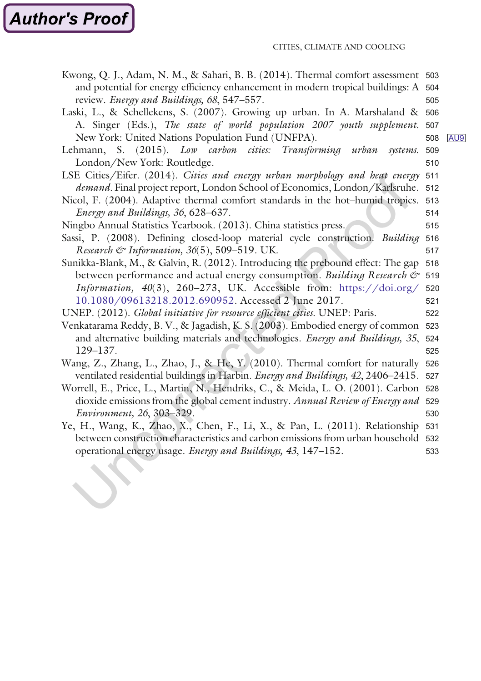CITIES, CLIMATE AND COOLING

<span id="page-16-0"></span>

| Kwong, Q. J., Adam, N. M., & Sahari, B. B. (2014). Thermal comfort assessment 503<br>and potential for energy efficiency enhancement in modern tropical buildings: A 504<br>review. Energy and Buildings, 68, 547-557.<br>Laski, L., & Schellekens, S. (2007). Growing up urban. In A. Marshaland & 506<br>A. Singer (Eds.), The state of world population 2007 youth supplement.<br>New York: United Nations Population Fund (UNFPA).<br>Lehmann, S. (2015). Low carbon cities: Transforming<br>urban<br>systems. | 505<br>507<br>508<br>509 | <b>AU9</b> |  |
|--------------------------------------------------------------------------------------------------------------------------------------------------------------------------------------------------------------------------------------------------------------------------------------------------------------------------------------------------------------------------------------------------------------------------------------------------------------------------------------------------------------------|--------------------------|------------|--|
| London/New York: Routledge.                                                                                                                                                                                                                                                                                                                                                                                                                                                                                        | 510                      |            |  |
| LSE Cities/Eifer. (2014). Cities and energy urban morphology and heat energy                                                                                                                                                                                                                                                                                                                                                                                                                                       |                          |            |  |
| demand. Final project report, London School of Economics, London/Karlsruhe.                                                                                                                                                                                                                                                                                                                                                                                                                                        |                          |            |  |
| Nicol, F. (2004). Adaptive thermal comfort standards in the hot-humid tropics.                                                                                                                                                                                                                                                                                                                                                                                                                                     |                          |            |  |
| Energy and Buildings, 36, 628–637.                                                                                                                                                                                                                                                                                                                                                                                                                                                                                 |                          |            |  |
| Ningbo Annual Statistics Yearbook. (2013). China statistics press.                                                                                                                                                                                                                                                                                                                                                                                                                                                 |                          |            |  |
| Sassi, P. (2008). Defining closed-loop material cycle construction. Building                                                                                                                                                                                                                                                                                                                                                                                                                                       | 516                      |            |  |
| Research & Information, $36(5)$ , 509-519. UK.                                                                                                                                                                                                                                                                                                                                                                                                                                                                     | 517                      |            |  |
| Sunikka-Blank, M., & Galvin, R. (2012). Introducing the prebound effect: The gap                                                                                                                                                                                                                                                                                                                                                                                                                                   |                          |            |  |
| between performance and actual energy consumption. Building Research &                                                                                                                                                                                                                                                                                                                                                                                                                                             |                          |            |  |
| Information, 40(3), 260-273, UK. Accessible from: https://doi.org/                                                                                                                                                                                                                                                                                                                                                                                                                                                 |                          |            |  |
| 10.1080/09613218.2012.690952. Accessed 2 June 2017.                                                                                                                                                                                                                                                                                                                                                                                                                                                                |                          |            |  |
| UNEP. (2012). Global initiative for resource efficient cities. UNEP: Paris.                                                                                                                                                                                                                                                                                                                                                                                                                                        |                          |            |  |
| Venkatarama Reddy, B. V., & Jagadish, K. S. (2003). Embodied energy of common                                                                                                                                                                                                                                                                                                                                                                                                                                      |                          |            |  |
| and alternative building materials and technologies. Energy and Buildings, 35,                                                                                                                                                                                                                                                                                                                                                                                                                                     |                          |            |  |
| $129 - 137.$                                                                                                                                                                                                                                                                                                                                                                                                                                                                                                       | 525<br>526               |            |  |
| Wang, Z., Zhang, L., Zhao, J., & He, Y. (2010). Thermal comfort for naturally                                                                                                                                                                                                                                                                                                                                                                                                                                      |                          |            |  |
| ventilated residential buildings in Harbin. Energy and Buildings, 42, 2406-2415.                                                                                                                                                                                                                                                                                                                                                                                                                                   | 527<br>528               |            |  |
| Worrell, E., Price, L., Martin, N., Hendriks, C., & Meida, L. O. (2001). Carbon                                                                                                                                                                                                                                                                                                                                                                                                                                    |                          |            |  |
| dioxide emissions from the global cement industry. Annual Review of Energy and 529                                                                                                                                                                                                                                                                                                                                                                                                                                 |                          |            |  |
| Environment, 26, 303-329.                                                                                                                                                                                                                                                                                                                                                                                                                                                                                          |                          |            |  |
| Ye, H., Wang, K., Zhao, X., Chen, F., Li, X., & Pan, L. (2011). Relationship                                                                                                                                                                                                                                                                                                                                                                                                                                       |                          |            |  |
| between construction characteristics and carbon emissions from urban household 532                                                                                                                                                                                                                                                                                                                                                                                                                                 |                          |            |  |
| operational energy usage. <i>Energy and Buildings</i> , 43, 147–152.                                                                                                                                                                                                                                                                                                                                                                                                                                               | 533                      |            |  |
|                                                                                                                                                                                                                                                                                                                                                                                                                                                                                                                    |                          |            |  |